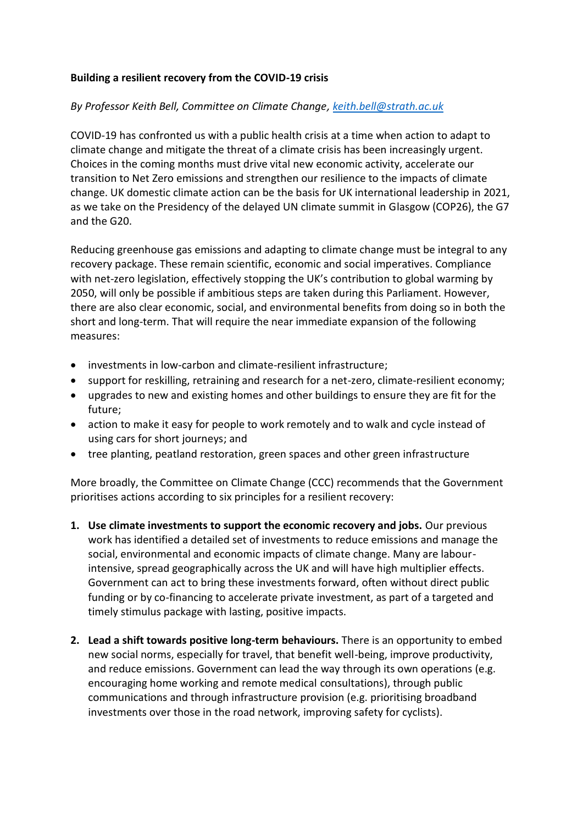## **Building a resilient recovery from the COVID-19 crisis**

# *By Professor Keith Bell, Committee on Climate Change[, keith.bell@strath.ac.uk](mailto:keith.bell@strath.ac.uk)*

COVID-19 has confronted us with a public health crisis at a time when action to adapt to climate change and mitigate the threat of a climate crisis has been increasingly urgent. Choices in the coming months must drive vital new economic activity, accelerate our transition to Net Zero emissions and strengthen our resilience to the impacts of climate change. UK domestic climate action can be the basis for UK international leadership in 2021, as we take on the Presidency of the delayed UN climate summit in Glasgow (COP26), the G7 and the G20.

Reducing greenhouse gas emissions and adapting to climate change must be integral to any recovery package. These remain scientific, economic and social imperatives. Compliance with net-zero legislation, effectively stopping the UK's contribution to global warming by 2050, will only be possible if ambitious steps are taken during this Parliament. However, there are also clear economic, social, and environmental benefits from doing so in both the short and long-term. That will require the near immediate expansion of the following measures:

- investments in low-carbon and climate-resilient infrastructure;
- support for reskilling, retraining and research for a net-zero, climate-resilient economy;
- upgrades to new and existing homes and other buildings to ensure they are fit for the future;
- action to make it easy for people to work remotely and to walk and cycle instead of using cars for short journeys; and
- tree planting, peatland restoration, green spaces and other green infrastructure

More broadly, the Committee on Climate Change (CCC) recommends that the Government prioritises actions according to six principles for a resilient recovery:

- **1. Use climate investments to support the economic recovery and jobs.** Our previous work has identified a detailed set of investments to reduce emissions and manage the social, environmental and economic impacts of climate change. Many are labourintensive, spread geographically across the UK and will have high multiplier effects. Government can act to bring these investments forward, often without direct public funding or by co-financing to accelerate private investment, as part of a targeted and timely stimulus package with lasting, positive impacts.
- **2. Lead a shift towards positive long-term behaviours.** There is an opportunity to embed new social norms, especially for travel, that benefit well-being, improve productivity, and reduce emissions. Government can lead the way through its own operations (e.g. encouraging home working and remote medical consultations), through public communications and through infrastructure provision (e.g. prioritising broadband investments over those in the road network, improving safety for cyclists).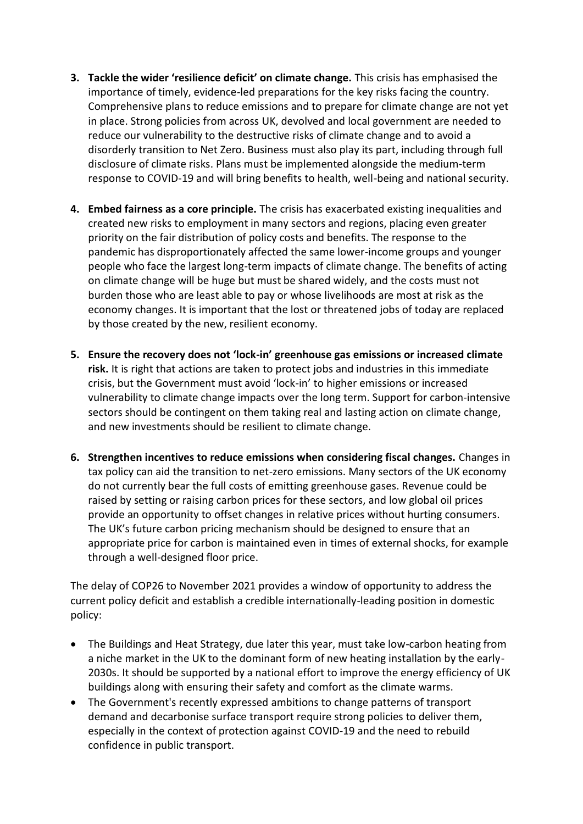- **3. Tackle the wider 'resilience deficit' on climate change.** This crisis has emphasised the importance of timely, evidence-led preparations for the key risks facing the country. Comprehensive plans to reduce emissions and to prepare for climate change are not yet in place. Strong policies from across UK, devolved and local government are needed to reduce our vulnerability to the destructive risks of climate change and to avoid a disorderly transition to Net Zero. Business must also play its part, including through full disclosure of climate risks. Plans must be implemented alongside the medium-term response to COVID-19 and will bring benefits to health, well-being and national security.
- **4. Embed fairness as a core principle.** The crisis has exacerbated existing inequalities and created new risks to employment in many sectors and regions, placing even greater priority on the fair distribution of policy costs and benefits. The response to the pandemic has disproportionately affected the same lower-income groups and younger people who face the largest long-term impacts of climate change. The benefits of acting on climate change will be huge but must be shared widely, and the costs must not burden those who are least able to pay or whose livelihoods are most at risk as the economy changes. It is important that the lost or threatened jobs of today are replaced by those created by the new, resilient economy.
- **5. Ensure the recovery does not 'lock-in' greenhouse gas emissions or increased climate risk.** It is right that actions are taken to protect jobs and industries in this immediate crisis, but the Government must avoid 'lock-in' to higher emissions or increased vulnerability to climate change impacts over the long term. Support for carbon-intensive sectors should be contingent on them taking real and lasting action on climate change, and new investments should be resilient to climate change.
- **6. Strengthen incentives to reduce emissions when considering fiscal changes.** Changes in tax policy can aid the transition to net-zero emissions. Many sectors of the UK economy do not currently bear the full costs of emitting greenhouse gases. Revenue could be raised by setting or raising carbon prices for these sectors, and low global oil prices provide an opportunity to offset changes in relative prices without hurting consumers. The UK's future carbon pricing mechanism should be designed to ensure that an appropriate price for carbon is maintained even in times of external shocks, for example through a well-designed floor price.

The delay of COP26 to November 2021 provides a window of opportunity to address the current policy deficit and establish a credible internationally-leading position in domestic policy:

- The Buildings and Heat Strategy, due later this year, must take low-carbon heating from a niche market in the UK to the dominant form of new heating installation by the early-2030s. It should be supported by a national effort to improve the energy efficiency of UK buildings along with ensuring their safety and comfort as the climate warms.
- The Government's recently expressed ambitions to change patterns of transport demand and decarbonise surface transport require strong policies to deliver them, especially in the context of protection against COVID-19 and the need to rebuild confidence in public transport.